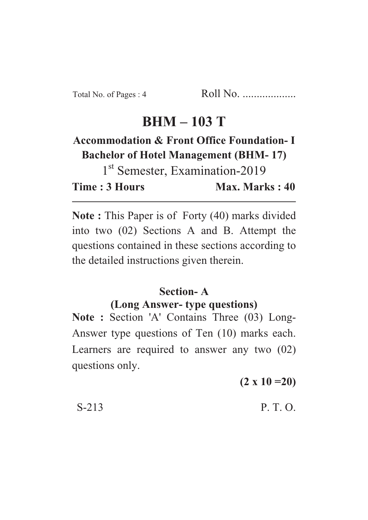# **BHM – 103 T**

## **Accommodation & Front Office Foundation- I Bachelor of Hotel Management (BHM- 17)**

1<sup>st</sup> Semester, Examination-2019 **Time : 3 Hours Max. Marks : 40** 

**Note :** This Paper is of Forty (40) marks divided into two (02) Sections A and B. Attempt the questions contained in these sections according to the detailed instructions given therein.

### **Section- A**

#### **(Long Answer- type questions)**

**Note :** Section 'A' Contains Three (03) Long-Answer type questions of Ten (10) marks each. Learners are required to answer any two (02) questions only.

**(2 x 10 =20)**

 $S-213$  P. T. O.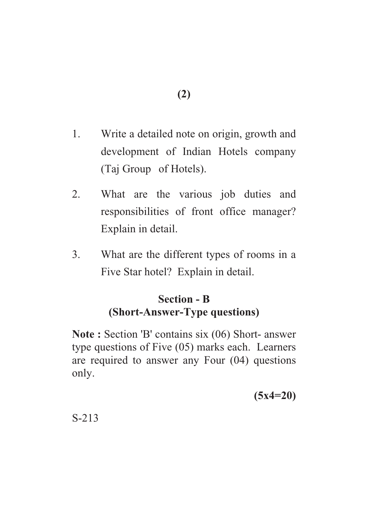- 1. Write a detailed note on origin, growth and development of Indian Hotels company (Taj Group of Hotels).
- 2. What are the various job duties and responsibilities of front office manager? Explain in detail.
- 3. What are the different types of rooms in a Five Star hotel? Explain in detail.

### **Section - B (Short-Answer-Type questions)**

**Note :** Section 'B' contains six (06) Short- answer type questions of Five (05) marks each. Learners are required to answer any Four (04) questions only.

**(5x4=20)**

S-213